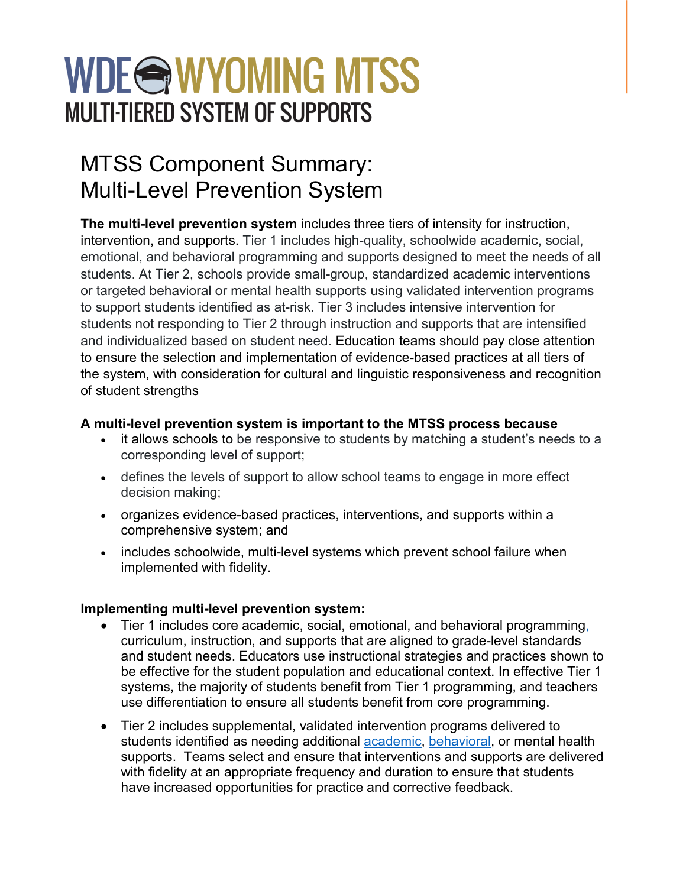# WDE@WYOMING MTSS **MULTI-TIERED SYSTEM OF SUPPORTS**

## MTSS Component Summary: Multi-Level Prevention System

**The multi-level prevention system** includes three tiers of intensity for instruction, intervention, and supports. Tier 1 includes high-quality, schoolwide academic, social, emotional, and behavioral programming and supports designed to meet the needs of all students. At Tier 2, schools provide small-group, standardized academic interventions or targeted behavioral or mental health supports using validated intervention programs to support students identified as at-risk. Tier 3 includes intensive intervention for students not responding to Tier 2 through instruction and supports that are intensified and individualized based on student need. Education teams should pay close attention to ensure the selection and implementation of evidence-based practices at all tiers of the system, with consideration for cultural and linguistic responsiveness and recognition of student strengths

### **A multi-level prevention system is important to the MTSS process because**

- it allows schools to be responsive to students by matching a student's needs to a corresponding level of support;
- defines the levels of support to allow school teams to engage in more effect decision making;
- organizes evidence-based practices, interventions, and supports within a comprehensive system; and
- includes schoolwide, multi-level systems which prevent school failure when implemented with fidelity.

### **Implementing multi-level prevention system:**

- Tier 1 includes core academic, social, emotional, and behavioral programming, curriculum, instruction, and supports that are aligned to grade-level standards and student needs. Educators use instructional strategies and practices shown to be effective for the student population and educational context. In effective Tier 1 systems, the majority of students benefit from Tier 1 programming, and teachers use differentiation to ensure all students benefit from core programming.
- Tier 2 includes supplemental, validated intervention programs delivered to students identified as needing additional [academic,](https://charts.intensiveintervention.org/aintervention) [behavioral,](https://charts.intensiveintervention.org/bintervention) or mental health supports. Teams select and ensure that interventions and supports are delivered with fidelity at an appropriate frequency and duration to ensure that students have increased opportunities for practice and corrective feedback.